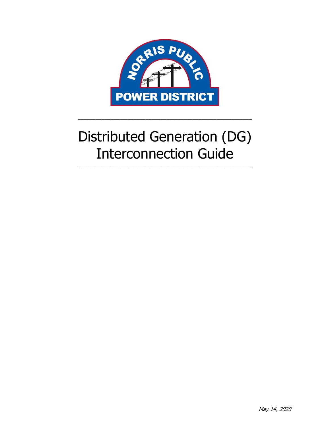

# Distributed Generation (DG) Interconnection Guide

\_\_\_\_\_\_\_\_\_\_\_\_\_\_\_\_\_\_\_\_\_\_\_\_\_\_\_\_\_\_\_\_\_\_\_\_\_\_\_\_\_\_\_\_\_\_\_\_\_\_\_\_\_\_\_\_\_\_\_

\_\_\_\_\_\_\_\_\_\_\_\_\_\_\_\_\_\_\_\_\_\_\_\_\_\_\_\_\_\_\_\_\_\_\_\_\_\_\_\_\_\_\_\_\_\_\_\_\_\_\_\_\_\_\_\_\_\_\_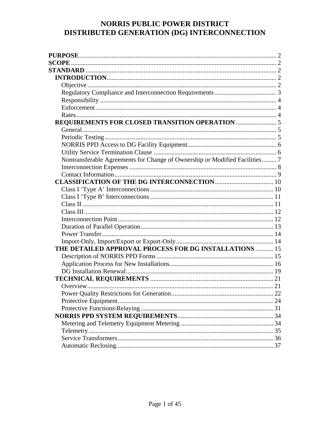# NORRIS PUBLIC POWER DISTRICT DISTRIBUTED GENERATION (DG) INTERCONNECTION

| <b>SCOPE</b>                                                                |  |
|-----------------------------------------------------------------------------|--|
|                                                                             |  |
|                                                                             |  |
|                                                                             |  |
|                                                                             |  |
|                                                                             |  |
|                                                                             |  |
|                                                                             |  |
|                                                                             |  |
|                                                                             |  |
|                                                                             |  |
|                                                                             |  |
|                                                                             |  |
| Nontransferable Agreements for Change of Ownership or Modified Facilities 7 |  |
|                                                                             |  |
|                                                                             |  |
|                                                                             |  |
|                                                                             |  |
|                                                                             |  |
|                                                                             |  |
|                                                                             |  |
|                                                                             |  |
|                                                                             |  |
|                                                                             |  |
|                                                                             |  |
| THE DETAILED APPROVAL PROCESS FOR DG INSTALLATIONS  15                      |  |
|                                                                             |  |
|                                                                             |  |
|                                                                             |  |
|                                                                             |  |
|                                                                             |  |
|                                                                             |  |
|                                                                             |  |
|                                                                             |  |
|                                                                             |  |
|                                                                             |  |
|                                                                             |  |
|                                                                             |  |
|                                                                             |  |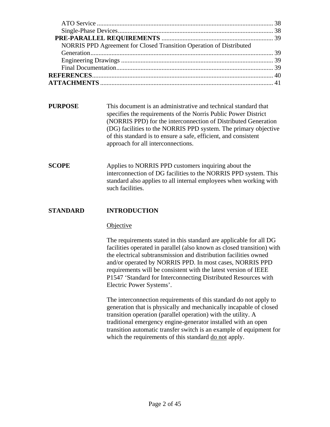| NORRIS PPD Agreement for Closed Transition Operation of Distributed |  |
|---------------------------------------------------------------------|--|
|                                                                     |  |
|                                                                     |  |
|                                                                     |  |
|                                                                     |  |
|                                                                     |  |

- **PURPOSE** This document is an administrative and technical standard that specifies the requirements of the Norris Public Power District (NORRIS PPD) for the interconnection of Distributed Generation (DG) facilities to the NORRIS PPD system. The primary objective of this standard is to ensure a safe, efficient, and consistent approach for all interconnections.
- **SCOPE** Applies to NORRIS PPD customers inquiring about the interconnection of DG facilities to the NORRIS PPD system. This standard also applies to all internal employees when working with such facilities.

# **STANDARD INTRODUCTION**

#### **Objective**

The requirements stated in this standard are applicable for all DG facilities operated in parallel (also known as closed transition) with the electrical subtransmission and distribution facilities owned and/or operated by NORRIS PPD. In most cases, NORRIS PPD requirements will be consistent with the latest version of IEEE P1547 'Standard for Interconnecting Distributed Resources with Electric Power Systems'.

The interconnection requirements of this standard do not apply to generation that is physically and mechanically incapable of closed transition operation (parallel operation) with the utility. A traditional emergency engine-generator installed with an open transition automatic transfer switch is an example of equipment for which the requirements of this standard do not apply.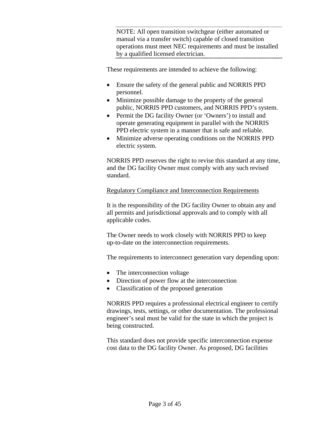NOTE: All open transition switchgear (either automated or manual via a transfer switch) capable of closed transition operations must meet NEC requirements and must be installed by a qualified licensed electrician.

These requirements are intended to achieve the following:

- Ensure the safety of the general public and NORRIS PPD personnel.
- Minimize possible damage to the property of the general public, NORRIS PPD customers, and NORRIS PPD's system.
- Permit the DG facility Owner (or 'Owners') to install and operate generating equipment in parallel with the NORRIS PPD electric system in a manner that is safe and reliable.
- Minimize adverse operating conditions on the NORRIS PPD electric system.

NORRIS PPD reserves the right to revise this standard at any time, and the DG facility Owner must comply with any such revised standard.

#### Regulatory Compliance and Interconnection Requirements

It is the responsibility of the DG facility Owner to obtain any and all permits and jurisdictional approvals and to comply with all applicable codes.

The Owner needs to work closely with NORRIS PPD to keep up-to-date on the interconnection requirements.

The requirements to interconnect generation vary depending upon:

- The interconnection voltage
- Direction of power flow at the interconnection
- Classification of the proposed generation

NORRIS PPD requires a professional electrical engineer to certify drawings, tests, settings, or other documentation. The professional engineer's seal must be valid for the state in which the project is being constructed.

This standard does not provide specific interconnection expense cost data to the DG facility Owner. As proposed, DG facilities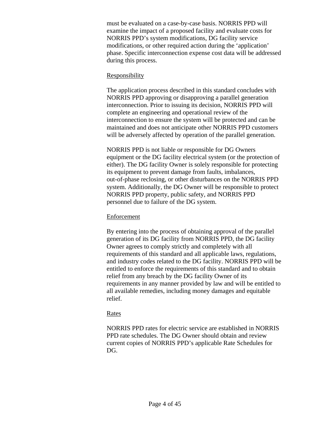must be evaluated on a case-by-case basis. NORRIS PPD will examine the impact of a proposed facility and evaluate costs for NORRIS PPD's system modifications, DG facility service modifications, or other required action during the 'application' phase. Specific interconnection expense cost data will be addressed during this process.

#### Responsibility

The application process described in this standard concludes with NORRIS PPD approving or disapproving a parallel generation interconnection. Prior to issuing its decision, NORRIS PPD will complete an engineering and operational review of the interconnection to ensure the system will be protected and can be maintained and does not anticipate other NORRIS PPD customers will be adversely affected by operation of the parallel generation.

NORRIS PPD is not liable or responsible for DG Owners equipment or the DG facility electrical system (or the protection of either). The DG facility Owner is solely responsible for protecting its equipment to prevent damage from faults, imbalances, out-of-phase reclosing, or other disturbances on the NORRIS PPD system. Additionally, the DG Owner will be responsible to protect NORRIS PPD property, public safety, and NORRIS PPD personnel due to failure of the DG system.

# Enforcement

By entering into the process of obtaining approval of the parallel generation of its DG facility from NORRIS PPD, the DG facility Owner agrees to comply strictly and completely with all requirements of this standard and all applicable laws, regulations, and industry codes related to the DG facility. NORRIS PPD will be entitled to enforce the requirements of this standard and to obtain relief from any breach by the DG facility Owner of its requirements in any manner provided by law and will be entitled to all available remedies, including money damages and equitable relief.

# Rates

NORRIS PPD rates for electric service are established in NORRIS PPD rate schedules. The DG Owner should obtain and review current copies of NORRIS PPD's applicable Rate Schedules for DG.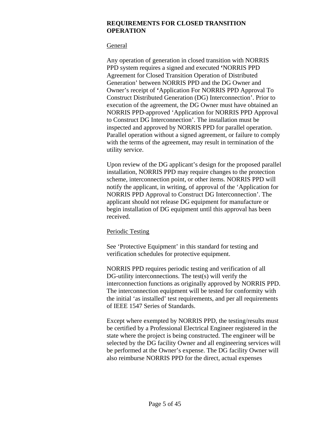#### **REQUIREMENTS FOR CLOSED TRANSITION OPERATION**

#### **General**

Any operation of generation in closed transition with NORRIS PPD system requires a signed and executed **'**NORRIS PPD Agreement for Closed Transition Operation of Distributed Generation' between NORRIS PPD and the DG Owner and Owner's receipt of **'**Application For NORRIS PPD Approval To Construct Distributed Generation (DG) Interconnection'. Prior to execution of the agreement, the DG Owner must have obtained an NORRIS PPD-approved 'Application for NORRIS PPD Approval to Construct DG Interconnection'. The installation must be inspected and approved by NORRIS PPD for parallel operation. Parallel operation without a signed agreement, or failure to comply with the terms of the agreement, may result in termination of the utility service.

Upon review of the DG applicant's design for the proposed parallel installation, NORRIS PPD may require changes to the protection scheme, interconnection point, or other items. NORRIS PPD will notify the applicant, in writing, of approval of the 'Application for NORRIS PPD Approval to Construct DG Interconnection'. The applicant should not release DG equipment for manufacture or begin installation of DG equipment until this approval has been received.

# Periodic Testing

See 'Protective Equipment' in this standard for testing and verification schedules for protective equipment.

NORRIS PPD requires periodic testing and verification of all DG-utility interconnections. The test(s) will verify the interconnection functions as originally approved by NORRIS PPD. The interconnection equipment will be tested for conformity with the initial 'as installed' test requirements, and per all requirements of IEEE 1547 Series of Standards.

Except where exempted by NORRIS PPD, the testing/results must be certified by a Professional Electrical Engineer registered in the state where the project is being constructed. The engineer will be selected by the DG facility Owner and all engineering services will be performed at the Owner's expense. The DG facility Owner will also reimburse NORRIS PPD for the direct, actual expenses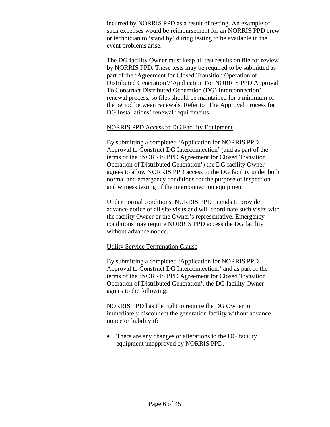incurred by NORRIS PPD as a result of testing. An example of such expenses would be reimbursement for an NORRIS PPD crew or technician to 'stand by' during testing to be available in the event problems arise.

The DG facility Owner must keep all test results on file for review by NORRIS PPD. These tests may be required to be submitted as part of the 'Agreement for Closed Transition Operation of Distributed Generation'/'Application For NORRIS PPD Approval To Construct Distributed Generation (DG) Interconnection' renewal process, so files should be maintained for a minimum of the period between renewals. Refer to 'The Approval Process for DG Installations' renewal requirements.

#### NORRIS PPD Access to DG Facility Equipment

By submitting a completed 'Application for NORRIS PPD Approval to Construct DG Interconnection' (and as part of the terms of the 'NORRIS PPD Agreement for Closed Transition Operation of Distributed Generation') the DG facility Owner agrees to allow NORRIS PPD access to the DG facility under both normal and emergency conditions for the purpose of inspection and witness testing of the interconnection equipment.

Under normal conditions, NORRIS PPD intends to provide advance notice of all site visits and will coordinate such visits with the facility Owner or the Owner's representative. Emergency conditions may require NORRIS PPD access the DG facility without advance notice.

# Utility Service Termination Clause

By submitting a completed 'Application for NORRIS PPD Approval to Construct DG Interconnection,' and as part of the terms of the 'NORRIS PPD Agreement for Closed Transition Operation of Distributed Generation', the DG facility Owner agrees to the following:

NORRIS PPD has the right to require the DG Owner to immediately disconnect the generation facility without advance notice or liability if:

• There are any changes or alterations to the DG facility equipment unapproved by NORRIS PPD.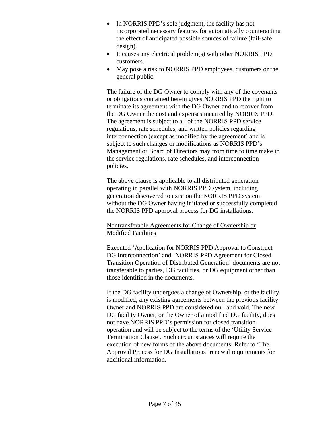- In NORRIS PPD's sole judgment, the facility has not incorporated necessary features for automatically counteracting the effect of anticipated possible sources of failure (fail-safe design).
- It causes any electrical problem(s) with other NORRIS PPD customers.
- May pose a risk to NORRIS PPD employees, customers or the general public.

The failure of the DG Owner to comply with any of the covenants or obligations contained herein gives NORRIS PPD the right to terminate its agreement with the DG Owner and to recover from the DG Owner the cost and expenses incurred by NORRIS PPD. The agreement is subject to all of the NORRIS PPD service regulations, rate schedules, and written policies regarding interconnection (except as modified by the agreement) and is subject to such changes or modifications as NORRIS PPD's Management or Board of Directors may from time to time make in the service regulations, rate schedules, and interconnection policies.

The above clause is applicable to all distributed generation operating in parallel with NORRIS PPD system, including generation discovered to exist on the NORRIS PPD system without the DG Owner having initiated or successfully completed the NORRIS PPD approval process for DG installations.

# Nontransferable Agreements for Change of Ownership or Modified Facilities

Executed 'Application for NORRIS PPD Approval to Construct DG Interconnection' and 'NORRIS PPD Agreement for Closed Transition Operation of Distributed Generation' documents are not transferable to parties, DG facilities, or DG equipment other than those identified in the documents.

If the DG facility undergoes a change of Ownership, or the facility is modified, any existing agreements between the previous facility Owner and NORRIS PPD are considered null and void. The new DG facility Owner, or the Owner of a modified DG facility, does not have NORRIS PPD's permission for closed transition operation and will be subject to the terms of the 'Utility Service Termination Clause'. Such circumstances will require the execution of new forms of the above documents. Refer to 'The Approval Process for DG Installations' renewal requirements for additional information.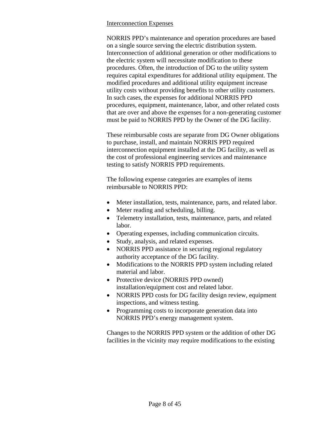#### Interconnection Expenses

NORRIS PPD's maintenance and operation procedures are based on a single source serving the electric distribution system. Interconnection of additional generation or other modifications to the electric system will necessitate modification to these procedures. Often, the introduction of DG to the utility system requires capital expenditures for additional utility equipment. The modified procedures and additional utility equipment increase utility costs without providing benefits to other utility customers. In such cases, the expenses for additional NORRIS PPD procedures, equipment, maintenance, labor, and other related costs that are over and above the expenses for a non-generating customer must be paid to NORRIS PPD by the Owner of the DG facility.

These reimbursable costs are separate from DG Owner obligations to purchase, install, and maintain NORRIS PPD required interconnection equipment installed at the DG facility, as well as the cost of professional engineering services and maintenance testing to satisfy NORRIS PPD requirements.

The following expense categories are examples of items reimbursable to NORRIS PPD:

- Meter installation, tests, maintenance, parts, and related labor.
- Meter reading and scheduling, billing.
- Telemetry installation, tests, maintenance, parts, and related labor.
- Operating expenses, including communication circuits.
- Study, analysis, and related expenses.
- NORRIS PPD assistance in securing regional regulatory authority acceptance of the DG facility.
- Modifications to the NORRIS PPD system including related material and labor.
- Protective device (NORRIS PPD owned) installation/equipment cost and related labor.
- NORRIS PPD costs for DG facility design review, equipment inspections, and witness testing.
- Programming costs to incorporate generation data into NORRIS PPD's energy management system.

Changes to the NORRIS PPD system or the addition of other DG facilities in the vicinity may require modifications to the existing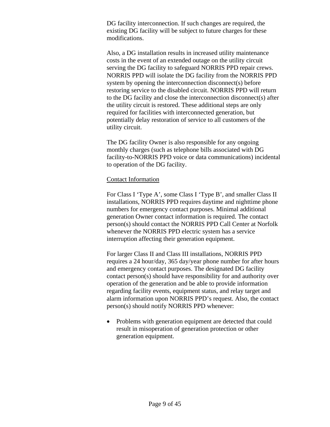DG facility interconnection. If such changes are required, the existing DG facility will be subject to future charges for these modifications.

Also, a DG installation results in increased utility maintenance costs in the event of an extended outage on the utility circuit serving the DG facility to safeguard NORRIS PPD repair crews. NORRIS PPD will isolate the DG facility from the NORRIS PPD system by opening the interconnection disconnect(s) before restoring service to the disabled circuit. NORRIS PPD will return to the DG facility and close the interconnection disconnect(s) after the utility circuit is restored. These additional steps are only required for facilities with interconnected generation, but potentially delay restoration of service to all customers of the utility circuit.

The DG facility Owner is also responsible for any ongoing monthly charges (such as telephone bills associated with DG facility-to-NORRIS PPD voice or data communications) incidental to operation of the DG facility.

#### Contact Information

For Class I 'Type A', some Class I 'Type B', and smaller Class II installations, NORRIS PPD requires daytime and nighttime phone numbers for emergency contact purposes. Minimal additional generation Owner contact information is required. The contact person(s) should contact the NORRIS PPD Call Center at Norfolk whenever the NORRIS PPD electric system has a service interruption affecting their generation equipment.

For larger Class II and Class III installations, NORRIS PPD requires a 24 hour/day, 365 day/year phone number for after hours and emergency contact purposes. The designated DG facility contact person(s) should have responsibility for and authority over operation of the generation and be able to provide information regarding facility events, equipment status, and relay target and alarm information upon NORRIS PPD's request. Also, the contact person(s) should notify NORRIS PPD whenever:

• Problems with generation equipment are detected that could result in misoperation of generation protection or other generation equipment.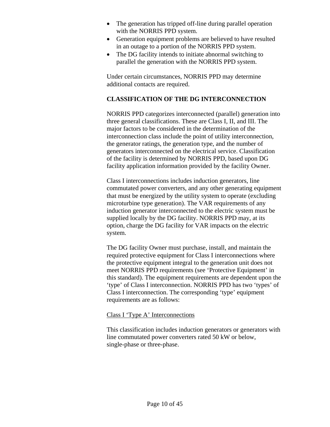- The generation has tripped off-line during parallel operation with the NORRIS PPD system.
- Generation equipment problems are believed to have resulted in an outage to a portion of the NORRIS PPD system.
- The DG facility intends to initiate abnormal switching to parallel the generation with the NORRIS PPD system.

Under certain circumstances, NORRIS PPD may determine additional contacts are required.

# **CLASSIFICATION OF THE DG INTERCONNECTION**

NORRIS PPD categorizes interconnected (parallel) generation into three general classifications. These are Class I, II, and III. The major factors to be considered in the determination of the interconnection class include the point of utility interconnection, the generator ratings, the generation type, and the number of generators interconnected on the electrical service. Classification of the facility is determined by NORRIS PPD, based upon DG facility application information provided by the facility Owner.

Class I interconnections includes induction generators, line commutated power converters, and any other generating equipment that must be energized by the utility system to operate (excluding microturbine type generation). The VAR requirements of any induction generator interconnected to the electric system must be supplied locally by the DG facility. NORRIS PPD may, at its option, charge the DG facility for VAR impacts on the electric system.

The DG facility Owner must purchase, install, and maintain the required protective equipment for Class I interconnections where the protective equipment integral to the generation unit does not meet NORRIS PPD requirements (see 'Protective Equipment' in this standard). The equipment requirements are dependent upon the 'type' of Class I interconnection. NORRIS PPD has two 'types' of Class I interconnection. The corresponding 'type' equipment requirements are as follows:

#### Class I 'Type A' Interconnections

This classification includes induction generators or generators with line commutated power converters rated 50 kW or below, single-phase or three-phase.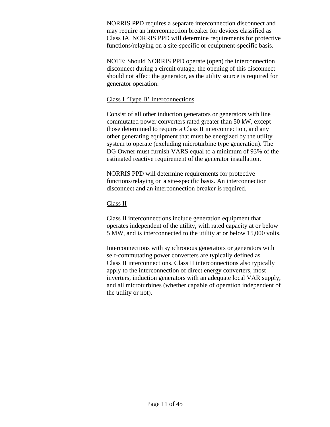NORRIS PPD requires a separate interconnection disconnect and may require an interconnection breaker for devices classified as Class IA. NORRIS PPD will determine requirements for protective functions/relaying on a site-specific or equipment-specific basis.

NOTE: Should NORRIS PPD operate (open) the interconnection disconnect during a circuit outage, the opening of this disconnect should not affect the generator, as the utility source is required for generator operation.

# Class I 'Type B' Interconnections

Consist of all other induction generators or generators with line commutated power converters rated greater than 50 kW, except those determined to require a Class II interconnection, and any other generating equipment that must be energized by the utility system to operate (excluding microturbine type generation). The DG Owner must furnish VARS equal to a minimum of 93% of the estimated reactive requirement of the generator installation.

NORRIS PPD will determine requirements for protective functions/relaying on a site-specific basis. An interconnection disconnect and an interconnection breaker is required.

# Class II

Class II interconnections include generation equipment that operates independent of the utility, with rated capacity at or below 5 MW, and is interconnected to the utility at or below 15,000 volts.

Interconnections with synchronous generators or generators with self-commutating power converters are typically defined as Class II interconnections. Class II interconnections also typically apply to the interconnection of direct energy converters, most inverters, induction generators with an adequate local VAR supply, and all microturbines (whether capable of operation independent of the utility or not).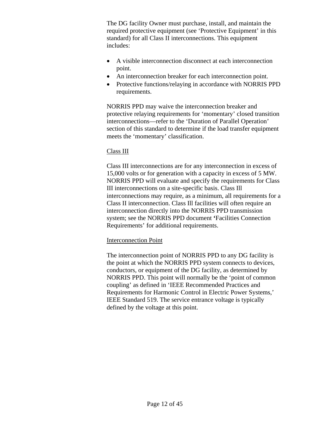The DG facility Owner must purchase, install, and maintain the required protective equipment (see 'Protective Equipment' in this standard) for all Class II interconnections. This equipment includes:

- A visible interconnection disconnect at each interconnection point.
- An interconnection breaker for each interconnection point.
- Protective functions/relaying in accordance with NORRIS PPD requirements.

NORRIS PPD may waive the interconnection breaker and protective relaying requirements for 'momentary' closed transition interconnections—refer to the 'Duration of Parallel Operation' section of this standard to determine if the load transfer equipment meets the 'momentary' classification.

# Class III

Class III interconnections are for any interconnection in excess of 15,000 volts or for generation with a capacity in excess of 5 MW. NORRIS PPD will evaluate and specify the requirements for Class III interconnections on a site-specific basis. Class Ill interconnections may require, as a minimum, all requirements for a Class II interconnection. Class Ill facilities will often require an interconnection directly into the NORRIS PPD transmission system; see the NORRIS PPD document **'**Facilities Connection Requirements' for additional requirements.

# Interconnection Point

The interconnection point of NORRIS PPD to any DG facility is the point at which the NORRIS PPD system connects to devices, conductors, or equipment of the DG facility, as determined by NORRIS PPD. This point will normally be the 'point of common coupling' as defined in 'IEEE Recommended Practices and Requirements for Harmonic Control in Electric Power Systems,' IEEE Standard 519. The service entrance voltage is typically defined by the voltage at this point.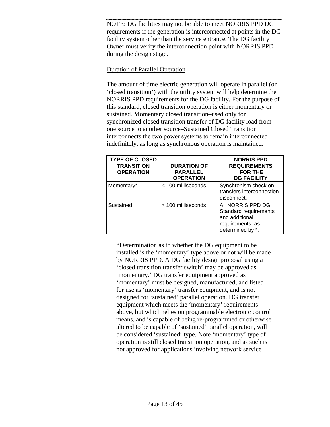NOTE: DG facilities may not be able to meet NORRIS PPD DG requirements if the generation is interconnected at points in the DG facility system other than the service entrance. The DG facility Owner must verify the interconnection point with NORRIS PPD during the design stage.

# Duration of Parallel Operation

The amount of time electric generation will operate in parallel (or 'closed transition') with the utility system will help determine the NORRIS PPD requirements for the DG facility. For the purpose of this standard, closed transition operation is either momentary or sustained. Momentary closed transition–used only for synchronized closed transition transfer of DG facility load from one source to another source–Sustained Closed Transition interconnects the two power systems to remain interconnected indefinitely, as long as synchronous operation is maintained.

| <b>TYPE OF CLOSED</b><br><b>TRANSITION</b><br><b>OPERATION</b> | <b>DURATION OF</b><br><b>PARALLEL</b><br><b>OPERATION</b> | <b>NORRIS PPD</b><br><b>REQUIREMENTS</b><br><b>FOR THE</b><br><b>DG FACILITY</b>                    |
|----------------------------------------------------------------|-----------------------------------------------------------|-----------------------------------------------------------------------------------------------------|
| Momentary*                                                     | < 100 milliseconds                                        | Synchronism check on<br>transfers interconnection<br>disconnect.                                    |
| Sustained                                                      | > 100 milliseconds                                        | All NORRIS PPD DG<br>Standard requirements<br>and additional<br>requirements, as<br>determined by * |

\*Determination as to whether the DG equipment to be installed is the 'momentary' type above or not will be made by NORRIS PPD. A DG facility design proposal using a 'closed transition transfer switch' may be approved as 'momentary.' DG transfer equipment approved as 'momentary' must be designed, manufactured, and listed for use as 'momentary' transfer equipment, and is not designed for 'sustained' parallel operation. DG transfer equipment which meets the 'momentary' requirements above, but which relies on programmable electronic control means, and is capable of being re-programmed or otherwise altered to be capable of 'sustained' parallel operation, will be considered 'sustained' type. Note 'momentary' type of operation is still closed transition operation, and as such is not approved for applications involving network service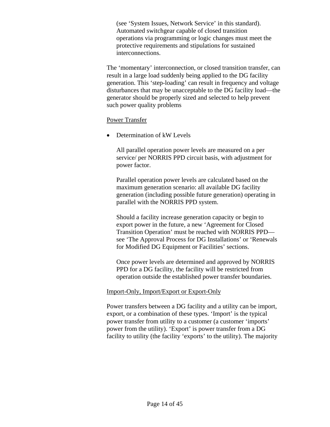(see 'System Issues, Network Service' in this standard). Automated switchgear capable of closed transition operations via programming or logic changes must meet the protective requirements and stipulations for sustained interconnections.

The 'momentary' interconnection, or closed transition transfer, can result in a large load suddenly being applied to the DG facility generation. This 'step-loading' can result in frequency and voltage disturbances that may be unacceptable to the DG facility load—the generator should be properly sized and selected to help prevent such power quality problems

#### Power Transfer

• Determination of kW Levels

All parallel operation power levels are measured on a per service/ per NORRIS PPD circuit basis, with adjustment for power factor.

Parallel operation power levels are calculated based on the maximum generation scenario: all available DG facility generation (including possible future generation) operating in parallel with the NORRIS PPD system.

Should a facility increase generation capacity or begin to export power in the future, a new 'Agreement for Closed Transition Operation' must be reached with NORRIS PPD see 'The Approval Process for DG Installations' or 'Renewals for Modified DG Equipment or Facilities' sections.

Once power levels are determined and approved by NORRIS PPD for a DG facility, the facility will be restricted from operation outside the established power transfer boundaries.

#### Import-Only, Import/Export or Export-Only

Power transfers between a DG facility and a utility can be import, export, or a combination of these types. 'Import' is the typical power transfer from utility to a customer (a customer 'imports' power from the utility). 'Export' is power transfer from a DG facility to utility (the facility 'exports' to the utility). The majority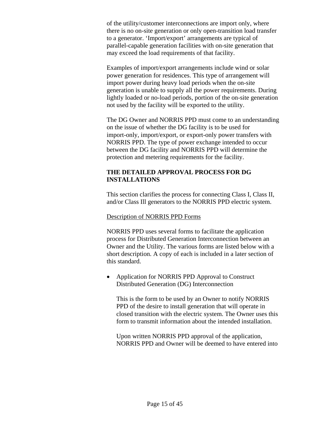of the utility/customer interconnections are import only, where there is no on-site generation or only open-transition load transfer to a generator. 'Import/export' arrangements are typical of parallel-capable generation facilities with on-site generation that may exceed the load requirements of that facility.

Examples of import/export arrangements include wind or solar power generation for residences. This type of arrangement will import power during heavy load periods when the on-site generation is unable to supply all the power requirements. During lightly loaded or no-load periods, portion of the on-site generation not used by the facility will be exported to the utility.

The DG Owner and NORRIS PPD must come to an understanding on the issue of whether the DG facility is to be used for import-only, import/export, or export-only power transfers with NORRIS PPD. The type of power exchange intended to occur between the DG facility and NORRIS PPD will determine the protection and metering requirements for the facility.

# **THE DETAILED APPROVAL PROCESS FOR DG INSTALLATIONS**

This section clarifies the process for connecting Class I, Class II, and/or Class Ill generators to the NORRIS PPD electric system.

#### Description of NORRIS PPD Forms

NORRIS PPD uses several forms to facilitate the application process for Distributed Generation Interconnection between an Owner and the Utility. The various forms are listed below with a short description. A copy of each is included in a later section of this standard.

• Application for NORRIS PPD Approval to Construct Distributed Generation (DG) Interconnection

This is the form to be used by an Owner to notify NORRIS PPD of the desire to install generation that will operate in closed transition with the electric system. The Owner uses this form to transmit information about the intended installation.

Upon written NORRIS PPD approval of the application, NORRIS PPD and Owner will be deemed to have entered into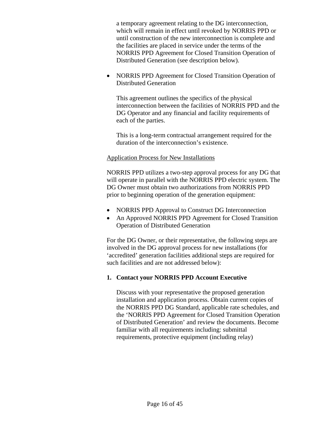a temporary agreement relating to the DG interconnection, which will remain in effect until revoked by NORRIS PPD or until construction of the new interconnection is complete and the facilities are placed in service under the terms of the NORRIS PPD Agreement for Closed Transition Operation of Distributed Generation (see description below).

• NORRIS PPD Agreement for Closed Transition Operation of Distributed Generation

This agreement outlines the specifics of the physical interconnection between the facilities of NORRIS PPD and the DG Operator and any financial and facility requirements of each of the parties.

This is a long-term contractual arrangement required for the duration of the interconnection's existence.

#### Application Process for New Installations

NORRIS PPD utilizes a two-step approval process for any DG that will operate in parallel with the NORRIS PPD electric system. The DG Owner must obtain two authorizations from NORRIS PPD prior to beginning operation of the generation equipment:

- NORRIS PPD Approval to Construct DG Interconnection
- An Approved NORRIS PPD Agreement for Closed Transition Operation of Distributed Generation

For the DG Owner, or their representative, the following steps are involved in the DG approval process for new installations (for 'accredited' generation facilities additional steps are required for such facilities and are not addressed below):

# **1. Contact your NORRIS PPD Account Executive**

Discuss with your representative the proposed generation installation and application process. Obtain current copies of the NORRIS PPD DG Standard, applicable rate schedules, and the 'NORRIS PPD Agreement for Closed Transition Operation of Distributed Generation' and review the documents. Become familiar with all requirements including: submittal requirements, protective equipment (including relay)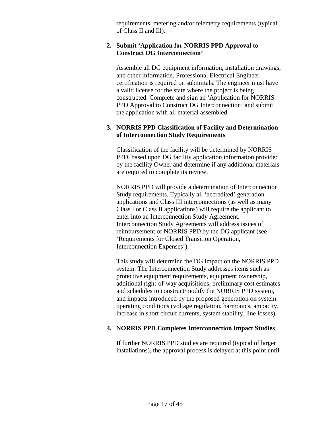requirements, metering and/or telemetry requirements (typical of Class II and Ill).

#### **2. Submit 'Application for NORRIS PPD Approval to Construct DG Interconnection'**

Assemble all DG equipment information, installation drawings, and other information. Professional Electrical Engineer certification is required on submittals. The engineer must have a valid license for the state where the project is being constructed. Complete and sign an 'Application for NORRIS PPD Approval to Construct DG Interconnection' and submit the application with all material assembled.

# **3. NORRIS PPD Classification of Facility and Determination of Interconnection Study Requirements**

Classification of the facility will be determined by NORRIS PPD, based upon DG facility application information provided by the facility Owner and determine if any additional materials are required to complete its review.

NORRIS PPD will provide a determination of Interconnection Study requirements. Typically all 'accredited' generation applications and Class III interconnections (as well as many Class I or Class II applications) will require the applicant to enter into an Interconnection Study Agreement. Interconnection Study Agreements will address issues of reimbursement of NORRIS PPD by the DG applicant (see 'Requirements for Closed Transition Operation, Interconnection Expenses').

This study will determine the DG impact on the NORRIS PPD system. The Interconnection Study addresses items such as protective equipment requirements, equipment ownership, additional right-of-way acquisitions, preliminary cost estimates and schedules to construct/modify the NORRIS PPD system, and impacts introduced by the proposed generation on system operating conditions (voltage regulation, harmonics, ampacity, increase in short circuit currents, system stability, line losses).

# **4. NORRIS PPD Completes Interconnection Impact Studies**

If further NORRIS PPD studies are required (typical of larger installations), the approval process is delayed at this point until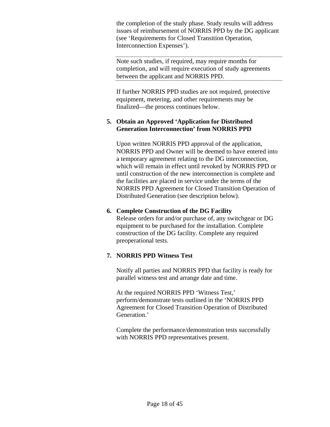the completion of the study phase. Study results will address issues of reimbursement of NORRIS PPD by the DG applicant (see 'Requirements for Closed Transition Operation, Interconnection Expenses').

Note such studies, if required, may require months for completion, and will require execution of study agreements between the applicant and NORRIS PPD.

If further NORRIS PPD studies are not required, protective equipment, metering, and other requirements may be finalized—the process continues below.

# **5. Obtain an Approved 'Application for Distributed Generation Interconnection' from NORRIS PPD**

Upon written NORRIS PPD approval of the application, NORRIS PPD and Owner will be deemed to have entered into a temporary agreement relating to the DG interconnection, which will remain in effect until revoked by NORRIS PPD or until construction of the new interconnection is complete and the facilities are placed in service under the terms of the NORRIS PPD Agreement for Closed Transition Operation of Distributed Generation (see description below).

# **6. Complete Construction of the DG Facility**

Release orders for and/or purchase of, any switchgear or DG equipment to be purchased for the installation. Complete construction of the DG facility. Complete any required preoperational tests.

# **7. NORRIS PPD Witness Test**

Notify all parties and NORRIS PPD that facility is ready for parallel witness test and arrange date and time.

At the required NORRIS PPD 'Witness Test,' perform/demonstrate tests outlined in the 'NORRIS PPD Agreement for Closed Transition Operation of Distributed Generation.'

Complete the performance/demonstration tests successfully with NORRIS PPD representatives present.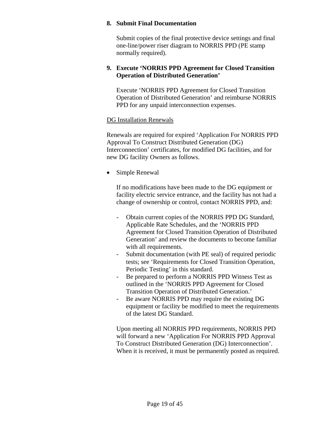#### **8. Submit Final Documentation**

Submit copies of the final protective device settings and final one-line/power riser diagram to NORRIS PPD (PE stamp normally required).

#### **9. Execute 'NORRIS PPD Agreement for Closed Transition Operation of Distributed Generation'**

Execute 'NORRIS PPD Agreement for Closed Transition Operation of Distributed Generation' and reimburse NORRIS PPD for any unpaid interconnection expenses.

#### DG Installation Renewals

Renewals are required for expired 'Application For NORRIS PPD Approval To Construct Distributed Generation (DG) Interconnection' certificates, for modified DG facilities, and for new DG facility Owners as follows.

• Simple Renewal

If no modifications have been made to the DG equipment or facility electric service entrance, and the facility has not had a change of ownership or control, contact NORRIS PPD, and:

- Obtain current copies of the NORRIS PPD DG Standard, Applicable Rate Schedules, and the 'NORRIS PPD Agreement for Closed Transition Operation of Distributed Generation' and review the documents to become familiar with all requirements.
- Submit documentation (with PE seal) of required periodic tests; see 'Requirements for Closed Transition Operation, Periodic Testing' in this standard.
- Be prepared to perform a NORRIS PPD Witness Test as outlined in the 'NORRIS PPD Agreement for Closed Transition Operation of Distributed Generation.'
- Be aware NORRIS PPD may require the existing DG equipment or facility be modified to meet the requirements of the latest DG Standard.

Upon meeting all NORRIS PPD requirements, NORRIS PPD will forward a new 'Application For NORRIS PPD Approval To Construct Distributed Generation (DG) Interconnection'. When it is received, it must be permanently posted as required.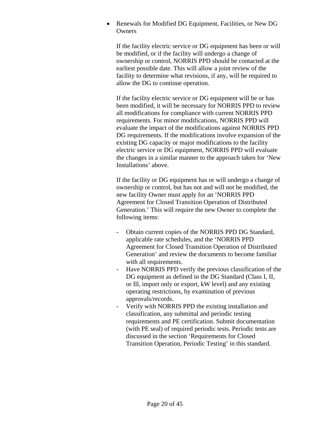• Renewals for Modified DG Equipment, Facilities, or New DG **Owners** 

If the facility electric service or DG equipment has been or will be modified, or if the facility will undergo a change of ownership or control, NORRIS PPD should be contacted at the earliest possible date. This will allow a joint review of the facility to determine what revisions, if any, will be required to allow the DG to continue operation.

If the facility electric service or DG equipment will be or has been modified, it will be necessary for NORRIS PPD to review all modifications for compliance with current NORRIS PPD requirements. For minor modifications, NORRIS PPD will evaluate the impact of the modifications against NORRIS PPD DG requirements. If the modifications involve expansion of the existing DG capacity or major modifications to the facility electric service or DG equipment, NORRIS PPD will evaluate the changes in a similar manner to the approach taken for 'New Installations' above.

If the facility or DG equipment has or will undergo a change of ownership or control, but has not and will not be modified, the new facility Owner must apply for an 'NORRIS PPD Agreement for Closed Transition Operation of Distributed Generation.' This will require the new Owner to complete the following items:

- Obtain current copies of the NORRIS PPD DG Standard, applicable rate schedules, and the 'NORRIS PPD Agreement for Closed Transition Operation of Distributed Generation' and review the documents to become familiar with all requirements.
- Have NORRIS PPD verify the previous classification of the DG equipment as defined in the DG Standard (Class I, II, or Ill, import only or export, kW level) and any existing operating restrictions, by examination of previous approvals/records.
- Verify with NORRIS PPD the existing installation and classification, any submittal and periodic testing requirements and PE certification. Submit documentation (with PE seal) of required periodic tests. Periodic tests are discussed in the section 'Requirements for Closed Transition Operation, Periodic Testing' in this standard.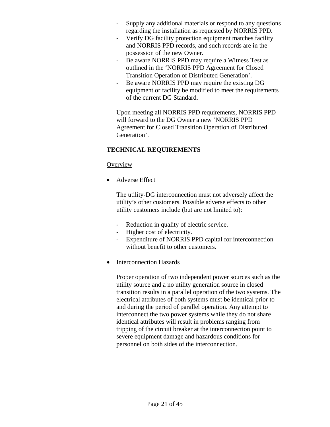- Supply any additional materials or respond to any questions regarding the installation as requested by NORRIS PPD.
- Verify DG facility protection equipment matches facility and NORRIS PPD records, and such records are in the possession of the new Owner.
- Be aware NORRIS PPD may require a Witness Test as outlined in the 'NORRIS PPD Agreement for Closed Transition Operation of Distributed Generation'.
- Be aware NORRIS PPD may require the existing DG equipment or facility be modified to meet the requirements of the current DG Standard.

Upon meeting all NORRIS PPD requirements, NORRIS PPD will forward to the DG Owner a new 'NORRIS PPD Agreement for Closed Transition Operation of Distributed Generation'.

# **TECHNICAL REQUIREMENTS**

#### **Overview**

• Adverse Effect

The utility-DG interconnection must not adversely affect the utility's other customers. Possible adverse effects to other utility customers include (but are not limited to):

- Reduction in quality of electric service.
- Higher cost of electricity.
- Expenditure of NORRIS PPD capital for interconnection without benefit to other customers.
- Interconnection Hazards

Proper operation of two independent power sources such as the utility source and a no utility generation source in closed transition results in a parallel operation of the two systems. The electrical attributes of both systems must be identical prior to and during the period of parallel operation. Any attempt to interconnect the two power systems while they do not share identical attributes will result in problems ranging from tripping of the circuit breaker at the interconnection point to severe equipment damage and hazardous conditions for personnel on both sides of the interconnection.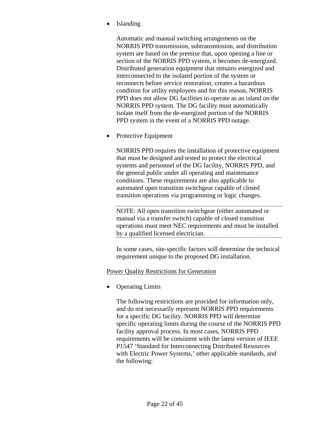• Islanding

Automatic and manual switching arrangements on the NORRIS PPD transmission, subtransmission, and distribution system are based on the premise that, upon opening a line or section of the NORRIS PPD system, it becomes de-energized. Distributed generation equipment that remains energized and interconnected to the isolated portion of the system or reconnects before service restoration, creates a hazardous condition for utility employees and for this reason, NORRIS PPD does not allow DG facilities to operate as an island on the NORRIS PPD system. The DG facility must automatically isolate itself from the de-energized portion of the NORRIS PPD system in the event of a NORRIS PPD outage.

• Protective Equipment

NORRIS PPD requires the installation of protective equipment that must be designed and tested to protect the electrical systems and personnel of the DG facility, NORRIS PPD, and the general public under all operating and maintenance conditions. These requirements are also applicable to automated open transition switchgear capable of closed transition operations via programming or logic changes.

NOTE: All open transition switchgear (either automated or manual via a transfer switch) capable of closed transition operations must meet NEC requirements and must be installed by a qualified licensed electrician.

In some cases, site-specific factors will determine the technical requirement unique to the proposed DG installation.

# Power Quality Restrictions for Generation

**Operating Limits** 

The following restrictions are provided for information only, and do not necessarily represent NORRIS PPD requirements for a specific DG facility. NORRIS PPD will determine specific operating limits during the course of the NORRIS PPD facility approval process. In most cases, NORRIS PPD requirements will be consistent with the latest version of IEEE P1547 'Standard for Interconnecting Distributed Resources with Electric Power Systems,' other applicable standards, and the following: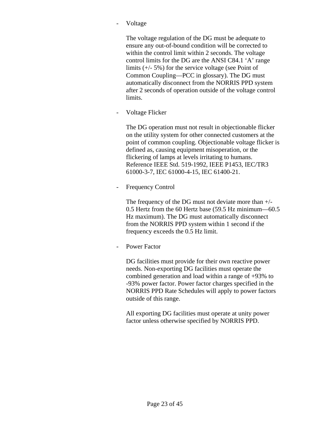**Voltage** 

The voltage regulation of the DG must be adequate to ensure any out-of-bound condition will be corrected to within the control limit within 2 seconds. The voltage control limits for the DG are the ANSI C84.1 'A' range limits (+/- 5%) for the service voltage (see Point of Common Coupling—PCC in glossary). The DG must automatically disconnect from the NORRIS PPD system after 2 seconds of operation outside of the voltage control limits.

Voltage Flicker

The DG operation must not result in objectionable flicker on the utility system for other connected customers at the point of common coupling. Objectionable voltage flicker is defined as, causing equipment misoperation, or the flickering of lamps at levels irritating to humans. Reference IEEE Std. 519-1992, IEEE P1453, IEC/TR3 61000-3-7, IEC 61000-4-15, IEC 61400-21.

**Frequency Control** 

The frequency of the DG must not deviate more than +/- 0.5 Hertz from the 60 Hertz base (59.5 Hz minimum—60.5 Hz maximum). The DG must automatically disconnect from the NORRIS PPD system within 1 second if the frequency exceeds the 0.5 Hz limit.

Power Factor

DG facilities must provide for their own reactive power needs. Non-exporting DG facilities must operate the combined generation and load within a range of +93% to -93% power factor. Power factor charges specified in the NORRIS PPD Rate Schedules will apply to power factors outside of this range.

All exporting DG facilities must operate at unity power factor unless otherwise specified by NORRIS PPD.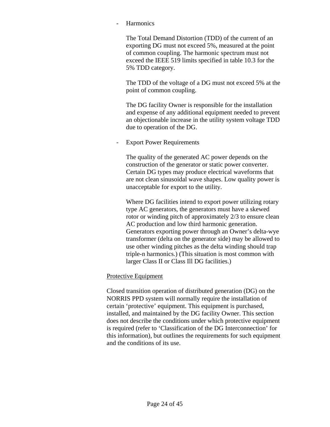#### **Harmonics**

The Total Demand Distortion (TDD) of the current of an exporting DG must not exceed 5%, measured at the point of common coupling. The harmonic spectrum must not exceed the IEEE 519 limits specified in table 10.3 for the 5% TDD category.

The TDD of the voltage of a DG must not exceed 5% at the point of common coupling.

The DG facility Owner is responsible for the installation and expense of any additional equipment needed to prevent an objectionable increase in the utility system voltage TDD due to operation of the DG.

#### **Export Power Requirements**

The quality of the generated AC power depends on the construction of the generator or static power converter. Certain DG types may produce electrical waveforms that are not clean sinusoidal wave shapes. Low quality power is unacceptable for export to the utility.

Where DG facilities intend to export power utilizing rotary type AC generators, the generators must have a skewed rotor or winding pitch of approximately 2/3 to ensure clean AC production and low third harmonic generation. Generators exporting power through an Owner's delta-wye transformer (delta on the generator side) may be allowed to use other winding pitches as the delta winding should trap triple-n harmonics.) (This situation is most common with larger Class II or Class Ill DG facilities.)

# Protective Equipment

Closed transition operation of distributed generation (DG) on the NORRIS PPD system will normally require the installation of certain 'protective' equipment. This equipment is purchased, installed, and maintained by the DG facility Owner. This section does not describe the conditions under which protective equipment is required (refer to 'Classification of the DG Interconnection' for this information), but outlines the requirements for such equipment and the conditions of its use.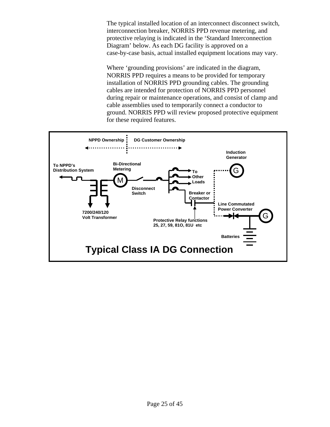The typical installed location of an interconnect disconnect switch, interconnection breaker, NORRIS PPD revenue metering, and protective relaying is indicated in the 'Standard Interconnection Diagram' below. As each DG facility is approved on a case-by-case basis, actual installed equipment locations may vary.

Where 'grounding provisions' are indicated in the diagram, NORRIS PPD requires a means to be provided for temporary installation of NORRIS PPD grounding cables. The grounding cables are intended for protection of NORRIS PPD personnel during repair or maintenance operations, and consist of clamp and cable assemblies used to temporarily connect a conductor to ground. NORRIS PPD will review proposed protective equipment for these required features.

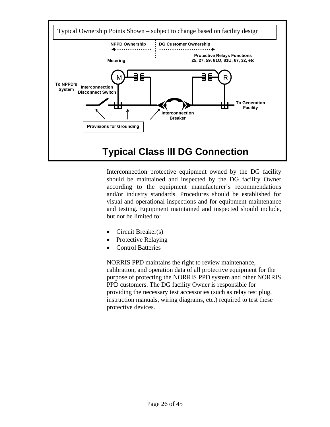

Interconnection protective equipment owned by the DG facility should be maintained and inspected by the DG facility Owner according to the equipment manufacturer's recommendations and/or industry standards. Procedures should be established for visual and operational inspections and for equipment maintenance and testing. Equipment maintained and inspected should include, but not be limited to:

- Circuit Breaker(s)
- Protective Relaying
- Control Batteries

NORRIS PPD maintains the right to review maintenance, calibration, and operation data of all protective equipment for the purpose of protecting the NORRIS PPD system and other NORRIS PPD customers. The DG facility Owner is responsible for providing the necessary test accessories (such as relay test plug, instruction manuals, wiring diagrams, etc.) required to test these protective devices.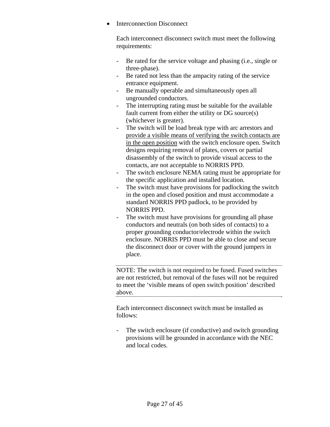• Interconnection Disconnect

Each interconnect disconnect switch must meet the following requirements:

- Be rated for the service voltage and phasing (i.e., single or three-phase).
- Be rated not less than the ampacity rating of the service entrance equipment.
- Be manually operable and simultaneously open all ungrounded conductors.
- The interrupting rating must be suitable for the available fault current from either the utility or DG source(s) (whichever is greater).
- The switch will be load break type with arc arrestors and provide a visible means of verifying the switch contacts are in the open position with the switch enclosure open. Switch designs requiring removal of plates, covers or partial disassembly of the switch to provide visual access to the contacts, are not acceptable to NORRIS PPD.
- The switch enclosure NEMA rating must be appropriate for the specific application and installed location.
- The switch must have provisions for padlocking the switch in the open and closed position and must accommodate a standard NORRIS PPD padlock, to be provided by NORRIS PPD.
- The switch must have provisions for grounding all phase conductors and neutrals (on both sides of contacts) to a proper grounding conductor/electrode within the switch enclosure. NORRIS PPD must be able to close and secure the disconnect door or cover with the ground jumpers in place.

NOTE: The switch is not required to be fused. Fused switches are not restricted, but removal of the fuses will not be required to meet the 'visible means of open switch position' described above.

Each interconnect disconnect switch must be installed as follows:

The switch enclosure (if conductive) and switch grounding provisions will be grounded in accordance with the NEC and local codes.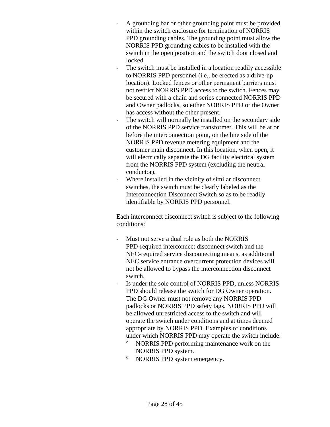- A grounding bar or other grounding point must be provided within the switch enclosure for termination of NORRIS PPD grounding cables. The grounding point must allow the NORRIS PPD grounding cables to be installed with the switch in the open position and the switch door closed and locked.
- The switch must be installed in a location readily accessible to NORRIS PPD personnel (i.e., be erected as a drive-up location). Locked fences or other permanent barriers must not restrict NORRIS PPD access to the switch. Fences may be secured with a chain and series connected NORRIS PPD and Owner padlocks, so either NORRIS PPD or the Owner has access without the other present.
- The switch will normally be installed on the secondary side of the NORRIS PPD service transformer. This will be at or before the interconnection point, on the line side of the NORRIS PPD revenue metering equipment and the customer main disconnect. In this location, when open, it will electrically separate the DG facility electrical system from the NORRIS PPD system (excluding the neutral conductor).
- Where installed in the vicinity of similar disconnect switches, the switch must be clearly labeled as the Interconnection Disconnect Switch so as to be readily identifiable by NORRIS PPD personnel.

Each interconnect disconnect switch is subject to the following conditions:

- Must not serve a dual role as both the NORRIS PPD-required interconnect disconnect switch and the NEC-required service disconnecting means, as additional NEC service entrance overcurrent protection devices will not be allowed to bypass the interconnection disconnect switch.
- Is under the sole control of NORRIS PPD, unless NORRIS PPD should release the switch for DG Owner operation. The DG Owner must not remove any NORRIS PPD padlocks or NORRIS PPD safety tags. NORRIS PPD will be allowed unrestricted access to the switch and will operate the switch under conditions and at times deemed appropriate by NORRIS PPD. Examples of conditions under which NORRIS PPD may operate the switch include:
	- ° NORRIS PPD performing maintenance work on the NORRIS PPD system.
	- ° NORRIS PPD system emergency.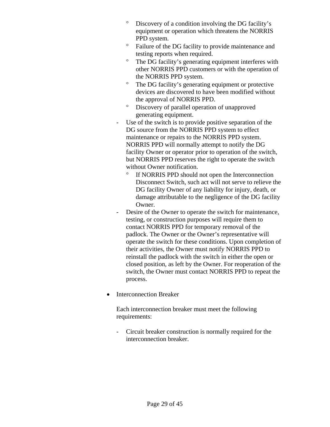- ° Discovery of a condition involving the DG facility's equipment or operation which threatens the NORRIS PPD system.
- ° Failure of the DG facility to provide maintenance and testing reports when required.
- ° The DG facility's generating equipment interferes with other NORRIS PPD customers or with the operation of the NORRIS PPD system.
- ° The DG facility's generating equipment or protective devices are discovered to have been modified without the approval of NORRIS PPD.
- ° Discovery of parallel operation of unapproved generating equipment.
- Use of the switch is to provide positive separation of the DG source from the NORRIS PPD system to effect maintenance or repairs to the NORRIS PPD system. NORRIS PPD will normally attempt to notify the DG facility Owner or operator prior to operation of the switch, but NORRIS PPD reserves the right to operate the switch without Owner notification.
	- ° If NORRIS PPD should not open the Interconnection Disconnect Switch, such act will not serve to relieve the DG facility Owner of any liability for injury, death, or damage attributable to the negligence of the DG facility Owner.
- Desire of the Owner to operate the switch for maintenance, testing, or construction purposes will require them to contact NORRIS PPD for temporary removal of the padlock. The Owner or the Owner's representative will operate the switch for these conditions. Upon completion of their activities, the Owner must notify NORRIS PPD to reinstall the padlock with the switch in either the open or closed position, as left by the Owner. For reoperation of the switch, the Owner must contact NORRIS PPD to repeat the process.
- Interconnection Breaker

Each interconnection breaker must meet the following requirements:

- Circuit breaker construction is normally required for the interconnection breaker.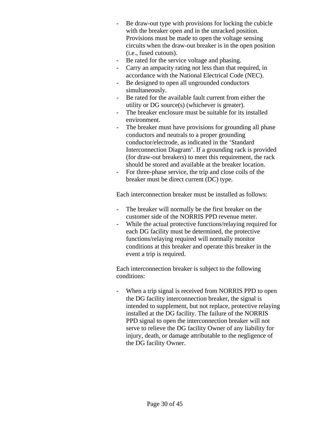- Be draw-out type with provisions for locking the cubicle with the breaker open and in the unracked position. Provisions must be made to open the voltage sensing circuits when the draw-out breaker is in the open position (i.e., fused cutouts).
- Be rated for the service voltage and phasing.
- Carry an ampacity rating not less than that required, in accordance with the National Electrical Code (NEC).
- Be designed to open all ungrounded conductors simultaneously.
- Be rated for the available fault current from either the utility or DG source(s) (whichever is greater).
- The breaker enclosure must be suitable for its installed environment.
- The breaker must have provisions for grounding all phase conductors and neutrals to a proper grounding conductor/electrode, as indicated in the 'Standard Interconnection Diagram'. If a grounding rack is provided (for draw-out breakers) to meet this requirement, the rack should be stored and available at the breaker location.
- For three-phase service, the trip and close coils of the breaker must be direct current (DC) type.

Each interconnection breaker must be installed as follows:

- The breaker will normally be the first breaker on the customer side of the NORRIS PPD revenue meter.
- While the actual protective functions/relaying required for each DG facility must be determined, the protective functions/relaying required will normally monitor conditions at this breaker and operate this breaker in the event a trip is required.

Each interconnection breaker is subject to the following conditions:

- When a trip signal is received from NORRIS PPD to open the DG facility interconnection breaker, the signal is intended to supplement, but not replace, protective relaying installed at the DG facility. The failure of the NORRIS PPD signal to open the interconnection breaker will not serve to relieve the DG facility Owner of any liability for injury, death, or damage attributable to the negligence of the DG facility Owner.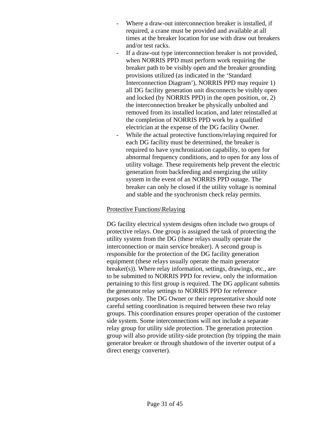- Where a draw-out interconnection breaker is installed, if required, a crane must be provided and available at all times at the breaker location for use with draw out breakers and/or test racks.
- If a draw-out type interconnection breaker is not provided, when NORRIS PPD must perform work requiring the breaker path to be visibly open and the breaker grounding provisions utilized (as indicated in the 'Standard Interconnection Diagram'), NORRIS PPD may require 1) all DG facility generation unit disconnects be visibly open and locked (by NORRIS PPD) in the open position, or, 2) the interconnection breaker be physically unbolted and removed from its installed location, and later reinstalled at the completion of NORRIS PPD work by a qualified electrician at the expense of the DG facility Owner.
- While the actual protective functions/relaying required for each DG facility must be determined, the breaker is required to have synchronization capability, to open for abnormal frequency conditions, and to open for any loss of utility voltage. These requirements help prevent the electric generation from backfeeding and energizing the utility system in the event of an NORRIS PPD outage. The breaker can only be closed if the utility voltage is nominal and stable and the synchronism check relay permits.

#### Protective Functions\Relaying

DG facility electrical system designs often include two groups of protective relays. One group is assigned the task of protecting the utility system from the DG (these relays usually operate the interconnection or main service breaker). A second group is responsible for the protection of the DG facility generation equipment (these relays usually operate the main generator breaker(s)). Where relay information, settings, drawings, etc., are to be submitted to NORRIS PPD for review, only the information pertaining to this first group is required. The DG applicant submits the generator relay settings to NORRIS PPD for reference purposes only. The DG Owner or their representative should note careful setting coordination is required between these two relay groups. This coordination ensures proper operation of the customer side system. Some interconnections will not include a separate relay group for utility side protection. The generation protection group will also provide utility-side protection (by tripping the main generator breaker or through shutdown of the inverter output of a direct energy converter).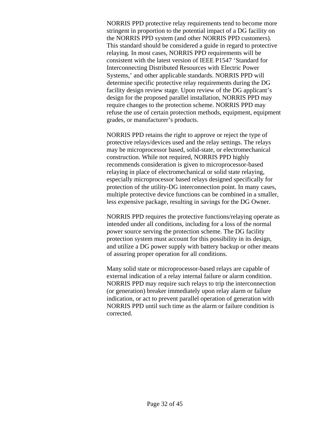NORRIS PPD protective relay requirements tend to become more stringent in proportion to the potential impact of a DG facility on the NORRIS PPD system (and other NORRIS PPD customers). This standard should be considered a guide in regard to protective relaying. In most cases, NORRIS PPD requirements will be consistent with the latest version of IEEE P1547 'Standard for Interconnecting Distributed Resources with Electric Power Systems,' and other applicable standards. NORRIS PPD will determine specific protective relay requirements during the DG facility design review stage. Upon review of the DG applicant's design for the proposed parallel installation, NORRIS PPD may require changes to the protection scheme. NORRIS PPD may refuse the use of certain protection methods, equipment, equipment grades, or manufacturer's products.

NORRIS PPD retains the right to approve or reject the type of protective relays/devices used and the relay settings. The relays may be microprocessor based, solid-state, or electromechanical construction. While not required, NORRIS PPD highly recommends consideration is given to microprocessor-based relaying in place of electromechanical or solid state relaying, especially microprocessor based relays designed specifically for protection of the utility-DG interconnection point. In many cases, multiple protective device functions can be combined in a smaller, less expensive package, resulting in savings for the DG Owner.

NORRIS PPD requires the protective functions/relaying operate as intended under all conditions, including for a loss of the normal power source serving the protection scheme. The DG facility protection system must account for this possibility in its design, and utilize a DG power supply with battery backup or other means of assuring proper operation for all conditions.

Many solid state or microprocessor-based relays are capable of external indication of a relay internal failure or alarm condition. NORRIS PPD may require such relays to trip the interconnection (or generation) breaker immediately upon relay alarm or failure indication, or act to prevent parallel operation of generation with NORRIS PPD until such time as the alarm or failure condition is corrected.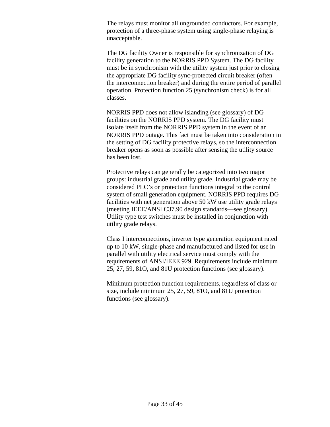The relays must monitor all ungrounded conductors. For example, protection of a three-phase system using single-phase relaying is unacceptable.

The DG facility Owner is responsible for synchronization of DG facility generation to the NORRIS PPD System. The DG facility must be in synchronism with the utility system just prior to closing the appropriate DG facility sync-protected circuit breaker (often the interconnection breaker) and during the entire period of parallel operation. Protection function 25 (synchronism check) is for all classes.

NORRIS PPD does not allow islanding (see glossary) of DG facilities on the NORRIS PPD system. The DG facility must isolate itself from the NORRIS PPD system in the event of an NORRIS PPD outage. This fact must be taken into consideration in the setting of DG facility protective relays, so the interconnection breaker opens as soon as possible after sensing the utility source has been lost.

Protective relays can generally be categorized into two major groups: industrial grade and utility grade. Industrial grade may be considered PLC's or protection functions integral to the control system of small generation equipment. NORRIS PPD requires DG facilities with net generation above 50 kW use utility grade relays (meeting IEEE/ANSI C37.90 design standards—see glossary). Utility type test switches must be installed in conjunction with utility grade relays.

Class I interconnections, inverter type generation equipment rated up to 10 kW, single-phase and manufactured and listed for use in parallel with utility electrical service must comply with the requirements of ANSI/IEEE 929. Requirements include minimum 25, 27, 59, 81O, and 81U protection functions (see glossary).

Minimum protection function requirements, regardless of class or size, include minimum 25, 27, 59, 81O, and 81U protection functions (see glossary).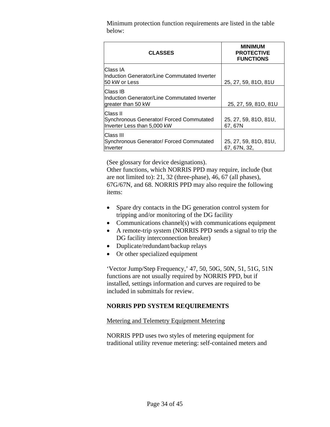Minimum protection function requirements are listed in the table below:

| <b>CLASSES</b>                                                                        | <b>MINIMUM</b><br><b>PROTECTIVE</b><br><b>FUNCTIONS</b> |
|---------------------------------------------------------------------------------------|---------------------------------------------------------|
| Class IA<br>Induction Generator/Line Commutated Inverter<br>50 kW or Less             | 25, 27, 59, 81O, 81U                                    |
| <b>Class IB</b><br>Induction Generator/Line Commutated Inverter<br>greater than 50 kW | 25, 27, 59, 81O, 81U                                    |
| Class II<br>Synchronous Generator/ Forced Commutated<br>Inverter Less than 5,000 kW   | 25, 27, 59, 81O, 81U,<br>67, 67N                        |
| lClass III<br>Synchronous Generator/ Forced Commutated<br>Inverter                    | 25, 27, 59, 81O, 81U,<br>67, 67N, 32,                   |

(See glossary for device designations).

Other functions, which NORRIS PPD may require, include (but are not limited to): 21, 32 (three-phase), 46, 67 (all phases), 67G/67N, and 68. NORRIS PPD may also require the following items:

- Spare dry contacts in the DG generation control system for tripping and/or monitoring of the DG facility
- Communications channel(s) with communications equipment
- A remote-trip system (NORRIS PPD sends a signal to trip the DG facility interconnection breaker)
- Duplicate/redundant/backup relays
- Or other specialized equipment

'Vector Jump/Step Frequency,' 47, 50, 50G, 50N, 51, 51G, 51N functions are not usually required by NORRIS PPD, but if installed, settings information and curves are required to be included in submittals for review.

# **NORRIS PPD SYSTEM REQUIREMENTS**

#### Metering and Telemetry Equipment Metering

NORRIS PPD uses two styles of metering equipment for traditional utility revenue metering: self-contained meters and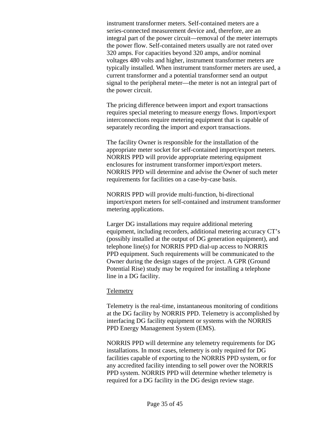instrument transformer meters. Self-contained meters are a series-connected measurement device and, therefore, are an integral part of the power circuit—removal of the meter interrupts the power flow. Self-contained meters usually are not rated over 320 amps. For capacities beyond 320 amps, and/or nominal voltages 480 volts and higher, instrument transformer meters are typically installed. When instrument transformer meters are used, a current transformer and a potential transformer send an output signal to the peripheral meter—the meter is not an integral part of the power circuit.

The pricing difference between import and export transactions requires special metering to measure energy flows. Import/export interconnections require metering equipment that is capable of separately recording the import and export transactions.

The facility Owner is responsible for the installation of the appropriate meter socket for self-contained import/export meters. NORRIS PPD will provide appropriate metering equipment enclosures for instrument transformer import/export meters. NORRIS PPD will determine and advise the Owner of such meter requirements for facilities on a case-by-case basis.

NORRIS PPD will provide multi-function, bi-directional import/export meters for self-contained and instrument transformer metering applications.

Larger DG installations may require additional metering equipment, including recorders, additional metering accuracy CT's (possibly installed at the output of DG generation equipment), and telephone line(s) for NORRIS PPD dial-up access to NORRIS PPD equipment. Such requirements will be communicated to the Owner during the design stages of the project. A GPR (Ground Potential Rise) study may be required for installing a telephone line in a DG facility.

#### **Telemetry**

Telemetry is the real-time, instantaneous monitoring of conditions at the DG facility by NORRIS PPD. Telemetry is accomplished by interfacing DG facility equipment or systems with the NORRIS PPD Energy Management System (EMS).

NORRIS PPD will determine any telemetry requirements for DG installations. In most cases, telemetry is only required for DG facilities capable of exporting to the NORRIS PPD system, or for any accredited facility intending to sell power over the NORRIS PPD system. NORRIS PPD will determine whether telemetry is required for a DG facility in the DG design review stage.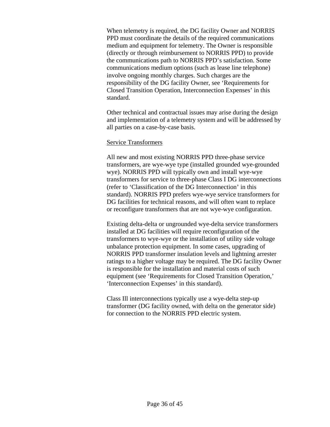When telemetry is required, the DG facility Owner and NORRIS PPD must coordinate the details of the required communications medium and equipment for telemetry. The Owner is responsible (directly or through reimbursement to NORRIS PPD) to provide the communications path to NORRIS PPD's satisfaction. Some communications medium options (such as lease line telephone) involve ongoing monthly charges. Such charges are the responsibility of the DG facility Owner, see 'Requirements for Closed Transition Operation, Interconnection Expenses' in this standard.

Other technical and contractual issues may arise during the design and implementation of a telemetry system and will be addressed by all parties on a case-by-case basis.

#### Service Transformers

All new and most existing NORRIS PPD three-phase service transformers, are wye-wye type (installed grounded wye-grounded wye). NORRIS PPD will typically own and install wye-wye transformers for service to three-phase Class I DG interconnections (refer to 'Classification of the DG Interconnection' in this standard). NORRIS PPD prefers wye-wye service transformers for DG facilities for technical reasons, and will often want to replace or reconfigure transformers that are not wye-wye configuration.

Existing delta-delta or ungrounded wye-delta service transformers installed at DG facilities will require reconfiguration of the transformers to wye-wye or the installation of utility side voltage unbalance protection equipment. In some cases, upgrading of NORRIS PPD transformer insulation levels and lightning arrester ratings to a higher voltage may be required. The DG facility Owner is responsible for the installation and material costs of such equipment (see 'Requirements for Closed Transition Operation,' 'Interconnection Expenses' in this standard).

Class Ill interconnections typically use a wye-delta step-up transformer (DG facility owned, with delta on the generator side) for connection to the NORRIS PPD electric system.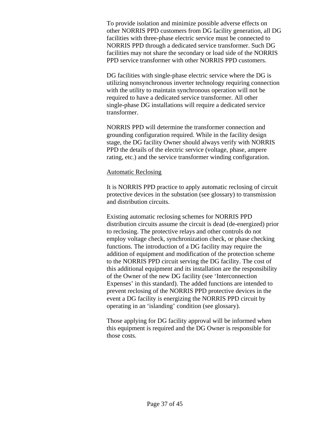To provide isolation and minimize possible adverse effects on other NORRIS PPD customers from DG facility generation, all DG facilities with three-phase electric service must be connected to NORRIS PPD through a dedicated service transformer. Such DG facilities may not share the secondary or load side of the NORRIS PPD service transformer with other NORRIS PPD customers.

DG facilities with single-phase electric service where the DG is utilizing nonsynchronous inverter technology requiring connection with the utility to maintain synchronous operation will not be required to have a dedicated service transformer. All other single-phase DG installations will require a dedicated service transformer.

NORRIS PPD will determine the transformer connection and grounding configuration required. While in the facility design stage, the DG facility Owner should always verify with NORRIS PPD the details of the electric service (voltage, phase, ampere rating, etc.) and the service transformer winding configuration.

#### Automatic Reclosing

It is NORRIS PPD practice to apply automatic reclosing of circuit protective devices in the substation (see glossary) to transmission and distribution circuits.

Existing automatic reclosing schemes for NORRIS PPD distribution circuits assume the circuit is dead (de-energized) prior to reclosing. The protective relays and other controls do not employ voltage check, synchronization check, or phase checking functions. The introduction of a DG facility may require the addition of equipment and modification of the protection scheme to the NORRIS PPD circuit serving the DG facility. The cost of this additional equipment and its installation are the responsibility of the Owner of the new DG facility (see 'Interconnection Expenses' in this standard). The added functions are intended to prevent reclosing of the NORRIS PPD protective devices in the event a DG facility is energizing the NORRIS PPD circuit by operating in an 'islanding' condition (see glossary).

Those applying for DG facility approval will be informed when this equipment is required and the DG Owner is responsible for those costs.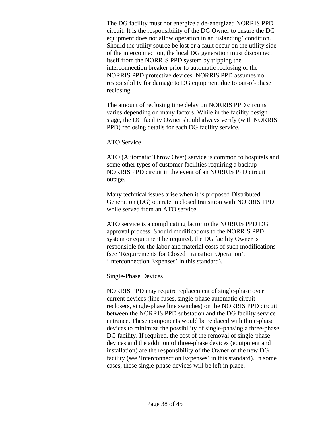The DG facility must not energize a de-energized NORRIS PPD circuit. It is the responsibility of the DG Owner to ensure the DG equipment does not allow operation in an 'islanding' condition. Should the utility source be lost or a fault occur on the utility side of the interconnection, the local DG generation must disconnect itself from the NORRIS PPD system by tripping the interconnection breaker prior to automatic reclosing of the NORRIS PPD protective devices. NORRIS PPD assumes no responsibility for damage to DG equipment due to out-of-phase reclosing.

The amount of reclosing time delay on NORRIS PPD circuits varies depending on many factors. While in the facility design stage, the DG facility Owner should always verify (with NORRIS PPD) reclosing details for each DG facility service.

#### ATO Service

ATO (Automatic Throw Over) service is common to hospitals and some other types of customer facilities requiring a backup NORRIS PPD circuit in the event of an NORRIS PPD circuit outage.

Many technical issues arise when it is proposed Distributed Generation (DG) operate in closed transition with NORRIS PPD while served from an ATO service.

ATO service is a complicating factor to the NORRIS PPD DG approval process. Should modifications to the NORRIS PPD system or equipment be required, the DG facility Owner is responsible for the labor and material costs of such modifications (see 'Requirements for Closed Transition Operation', 'Interconnection Expenses' in this standard).

#### Single-Phase Devices

NORRIS PPD may require replacement of single-phase over current devices (line fuses, single-phase automatic circuit reclosers, single-phase line switches) on the NORRIS PPD circuit between the NORRIS PPD substation and the DG facility service entrance. These components would be replaced with three-phase devices to minimize the possibility of single-phasing a three-phase DG facility. If required, the cost of the removal of single-phase devices and the addition of three-phase devices (equipment and installation) are the responsibility of the Owner of the new DG facility (see 'Interconnection Expenses' in this standard). In some cases, these single-phase devices will be left in place.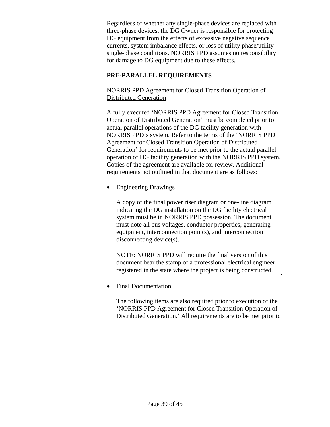Regardless of whether any single-phase devices are replaced with three-phase devices, the DG Owner is responsible for protecting DG equipment from the effects of excessive negative sequence currents, system imbalance effects, or loss of utility phase/utility single-phase conditions. NORRIS PPD assumes no responsibility for damage to DG equipment due to these effects.

# **PRE-PARALLEL REQUIREMENTS**

NORRIS PPD Agreement for Closed Transition Operation of Distributed Generation

A fully executed 'NORRIS PPD Agreement for Closed Transition Operation of Distributed Generation' must be completed prior to actual parallel operations of the DG facility generation with NORRIS PPD's system. Refer to the terms of the 'NORRIS PPD Agreement for Closed Transition Operation of Distributed Generation' for requirements to be met prior to the actual parallel operation of DG facility generation with the NORRIS PPD system. Copies of the agreement are available for review. Additional requirements not outlined in that document are as follows:

• Engineering Drawings

A copy of the final power riser diagram or one-line diagram indicating the DG installation on the DG facility electrical system must be in NORRIS PPD possession. The document must note all bus voltages, conductor properties, generating equipment, interconnection point(s), and interconnection disconnecting device(s).

NOTE: NORRIS PPD will require the final version of this document bear the stamp of a professional electrical engineer registered in the state where the project is being constructed.

• Final Documentation

The following items are also required prior to execution of the 'NORRIS PPD Agreement for Closed Transition Operation of Distributed Generation.' All requirements are to be met prior to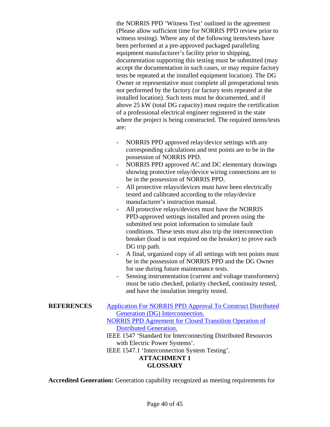the NORRIS PPD 'Witness Test' outlined in the agreement (Please allow sufficient time for NORRIS PPD review prior to witness testing). Where any of the following items/tests have been performed at a pre-approved packaged paralleling equipment manufacturer's facility prior to shipping, documentation supporting this testing must be submitted (may accept the documentation in such cases, or may require factory tests be repeated at the installed equipment location). The DG Owner or representative must complete all preoperational tests not performed by the factory (or factory tests repeated at the installed location). Such tests must be documented, and if above 25 kW (total DG capacity) must require the certification of a professional electrical engineer registered in the state where the project is being constructed. The required items/tests are:

- NORRIS PPD approved relay/device settings with any corresponding calculations and test points are to be in the possession of NORRIS PPD.
- NORRIS PPD approved AC and DC elementary drawings showing protective relay/device wiring connections are to be in the possession of NORRIS PPD.
- All protective relays/devices must have been electrically tested and calibrated according to the relay/device manufacturer's instruction manual.
- All protective relays/devices must have the NORRIS PPD-approved settings installed and proven using the submitted test point information to simulate fault conditions. These tests must also trip the interconnection breaker (load is not required on the breaker) to prove each DG trip path.
- A final, organized copy of all settings with test points must be in the possession of NORRIS PPD and the DG Owner for use during future maintenance tests.
- Sensing instrumentation (current and voltage transformers) must be ratio checked, polarity checked, continuity tested, and have the insulation integrity tested.

**REFERENCES** Application For NORRIS PPD Approval To Construct Distributed Generation (DG) Interconnection. NORRIS PPD Agreement for Closed Transition Operation of Distributed Generation. IEEE 1547 'Standard for Interconnecting Distributed Resources with Electric Power Systems'. IEEE 1547.1 'Interconnection System Testing'. **ATTACHMENT 1 GLOSSARY** 

**Accredited Generation:** Generation capability recognized as meeting requirements for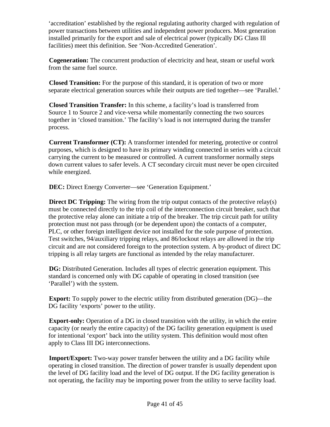'accreditation' established by the regional regulating authority charged with regulation of power transactions between utilities and independent power producers. Most generation installed primarily for the export and sale of electrical power (typically DG Class Ill facilities) meet this definition. See 'Non-Accredited Generation'.

**Cogeneration:** The concurrent production of electricity and heat, steam or useful work from the same fuel source.

**Closed Transition:** For the purpose of this standard, it is operation of two or more separate electrical generation sources while their outputs are tied together—see 'Parallel.'

**Closed Transition Transfer:** In this scheme, a facility's load is transferred from Source 1 to Source 2 and vice-versa while momentarily connecting the two sources together in 'closed transition.' The facility's load is not interrupted during the transfer process.

**Current Transformer (CT):** A transformer intended for metering, protective or control purposes, which is designed to have its primary winding connected in series with a circuit carrying the current to be measured or controlled. A current transformer normally steps down current values to safer levels. A CT secondary circuit must never be open circuited while energized.

**DEC:** Direct Energy Converter—see 'Generation Equipment.'

**Direct DC Tripping:** The wiring from the trip output contacts of the protective relay(s) must be connected directly to the trip coil of the interconnection circuit breaker, such that the protective relay alone can initiate a trip of the breaker. The trip circuit path for utility protection must not pass through (or be dependent upon) the contacts of a computer, PLC, or other foreign intelligent device not installed for the sole purpose of protection. Test switches, 94/auxiliary tripping relays, and 86/lockout relays are allowed in the trip circuit and are not considered foreign to the protection system. A by-product of direct DC tripping is all relay targets are functional as intended by the relay manufacturer.

**DG:** Distributed Generation. Includes all types of electric generation equipment. This standard is concerned only with DG capable of operating in closed transition (see 'Parallel') with the system.

**Export:** To supply power to the electric utility from distributed generation (DG)—the DG facility 'exports' power to the utility.

**Export-only:** Operation of a DG in closed transition with the utility, in which the entire capacity (or nearly the entire capacity) of the DG facility generation equipment is used for intentional 'export' back into the utility system. This definition would most often apply to Class III DG interconnections.

**Import/Export:** Two-way power transfer between the utility and a DG facility while operating in closed transition. The direction of power transfer is usually dependent upon the level of DG facility load and the level of DG output. If the DG facility generation is not operating, the facility may be importing power from the utility to serve facility load.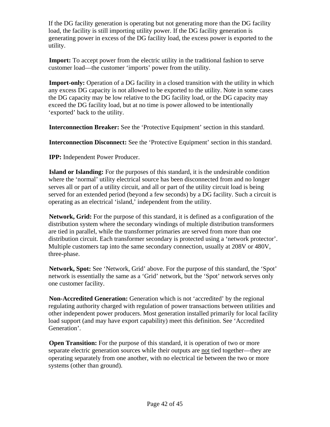If the DG facility generation is operating but not generating more than the DG facility load, the facility is still importing utility power. If the DG facility generation is generating power in excess of the DG facility load, the excess power is exported to the utility.

**Import:** To accept power from the electric utility in the traditional fashion to serve customer load—the customer 'imports' power from the utility.

**Import-only:** Operation of a DG facility in a closed transition with the utility in which any excess DG capacity is not allowed to be exported to the utility. Note in some cases the DG capacity may be low relative to the DG facility load, or the DG capacity may exceed the DG facility load, but at no time is power allowed to be intentionally 'exported' back to the utility.

**Interconnection Breaker:** See the 'Protective Equipment' section in this standard.

**Interconnection Disconnect:** See the 'Protective Equipment' section in this standard.

**IPP:** Independent Power Producer.

**Island or Islanding:** For the purposes of this standard, it is the undesirable condition where the 'normal' utility electrical source has been disconnected from and no longer serves all or part of a utility circuit, and all or part of the utility circuit load is being served for an extended period (beyond a few seconds) by a DG facility. Such a circuit is operating as an electrical 'island,' independent from the utility.

**Network, Grid:** For the purpose of this standard, it is defined as a configuration of the distribution system where the secondary windings of multiple distribution transformers are tied in parallel, while the transformer primaries are served from more than one distribution circuit. Each transformer secondary is protected using a 'network protector'. Multiple customers tap into the same secondary connection, usually at 208V or 480V, three-phase.

**Network, Spot:** See 'Network, Grid' above. For the purpose of this standard, the 'Spot' network is essentially the same as a 'Grid' network, but the 'Spot' network serves only one customer facility.

**Non-Accredited Generation:** Generation which is not 'accredited' by the regional regulating authority charged with regulation of power transactions between utilities and other independent power producers. Most generation installed primarily for local facility load support (and may have export capability) meet this definition. See 'Accredited Generation'.

**Open Transition:** For the purpose of this standard, it is operation of two or more separate electric generation sources while their outputs are not tied together—they are operating separately from one another, with no electrical tie between the two or more systems (other than ground).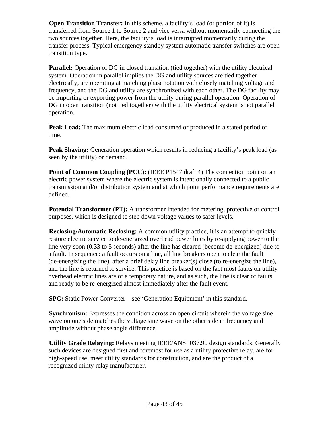**Open Transition Transfer:** In this scheme, a facility's load (or portion of it) is transferred from Source 1 to Source 2 and vice versa without momentarily connecting the two sources together. Here, the facility's load is interrupted momentarily during the transfer process. Typical emergency standby system automatic transfer switches are open transition type.

**Parallel:** Operation of DG in closed transition (tied together) with the utility electrical system. Operation in parallel implies the DG and utility sources are tied together electrically, are operating at matching phase rotation with closely matching voltage and frequency, and the DG and utility are synchronized with each other. The DG facility may be importing or exporting power from the utility during parallel operation. Operation of DG in open transition (not tied together) with the utility electrical system is not parallel operation.

**Peak Load:** The maximum electric load consumed or produced in a stated period of time.

**Peak Shaving:** Generation operation which results in reducing a facility's peak load (as seen by the utility) or demand.

**Point of Common Coupling (PCC):** (IEEE P1547 draft 4) The connection point on an electric power system where the electric system is intentionally connected to a public transmission and/or distribution system and at which point performance requirements are defined.

**Potential Transformer (PT):** A transformer intended for metering, protective or control purposes, which is designed to step down voltage values to safer levels.

**Reclosing/Automatic Reclosing:** A common utility practice, it is an attempt to quickly restore electric service to de-energized overhead power lines by re-applying power to the line very soon (0.33 to 5 seconds) after the line has cleared (become de-energized) due to a fault. In sequence: a fault occurs on a line, all line breakers open to clear the fault (de-energizing the line), after a brief delay line breaker(s) close (to re-energize the line), and the line is returned to service. This practice is based on the fact most faults on utility overhead electric lines are of a temporary nature, and as such, the line is clear of faults and ready to be re-energized almost immediately after the fault event.

**SPC:** Static Power Converter—see 'Generation Equipment' in this standard.

**Synchronism:** Expresses the condition across an open circuit wherein the voltage sine wave on one side matches the voltage sine wave on the other side in frequency and amplitude without phase angle difference.

**Utility Grade Relaying:** Relays meeting IEEE/ANSI 037.90 design standards. Generally such devices are designed first and foremost for use as a utility protective relay, are for high-speed use, meet utility standards for construction, and are the product of a recognized utility relay manufacturer.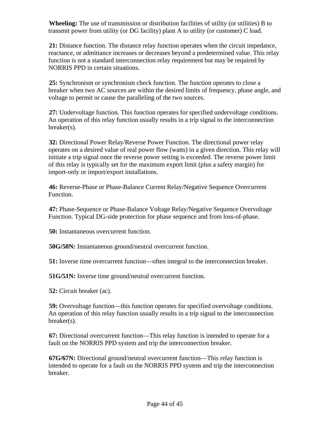**Wheeling:** The use of transmission or distribution facilities of utility (or utilities) B to transmit power from utility (or DG facility) plant A to utility (or customer) C load.

**21:** Distance function. The distance relay function operates when the circuit impedance, reactance, or admittance increases or decreases beyond a predetermined value. This relay function is not a standard interconnection relay requirement but may be required by NORRIS PPD in certain situations.

**25:** Synchronism or synchronism check function. The function operates to close a breaker when two AC sources are within the desired limits of frequency, phase angle, and voltage to permit or cause the paralleling of the two sources.

**27:** Undervoltage function. This function operates for specified undervoltage conditions. An operation of this relay function usually results in a trip signal to the interconnection breaker(s).

**32:** Directional Power Relay/Reverse Power Function. The directional power relay operates on a desired value of real power flow (watts) in a given direction. This relay will initiate a trip signal once the reverse power setting is exceeded. The reverse power limit of this relay is typically set for the maximum export limit (plus a safety margin) for import-only or import/export installations.

**46:** Reverse-Phase or Phase-Balance Current Relay/Negative Sequence Overcurrent Function.

**47:** Phase-Sequence or Phase-Balance Voltage Relay/Negative Sequence Overvoltage Function. Typical DG-side protection for phase sequence and from loss-of-phase.

**50:** Instantaneous overcurrent function.

**50G/50N:** Instantaneous ground/neutral overcurrent function.

**51:** Inverse time overcurrent function—often integral to the interconnection breaker.

**51G/51N:** Inverse time ground/neutral overcurrent function.

**52:** Circuit breaker (ac).

**59:** Overvoltage function—this function operates for specified overvoltage conditions. An operation of this relay function usually results in a trip signal to the interconnection breaker(s).

**67:** Directional overcurrent function—This relay function is intended to operate for a fault on the NORRIS PPD system and trip the interconnection breaker.

**67G/67N:** Directional ground/neutral overcurrent function—This relay function is intended to operate for a fault on the NORRIS PPD system and trip the interconnection breaker.